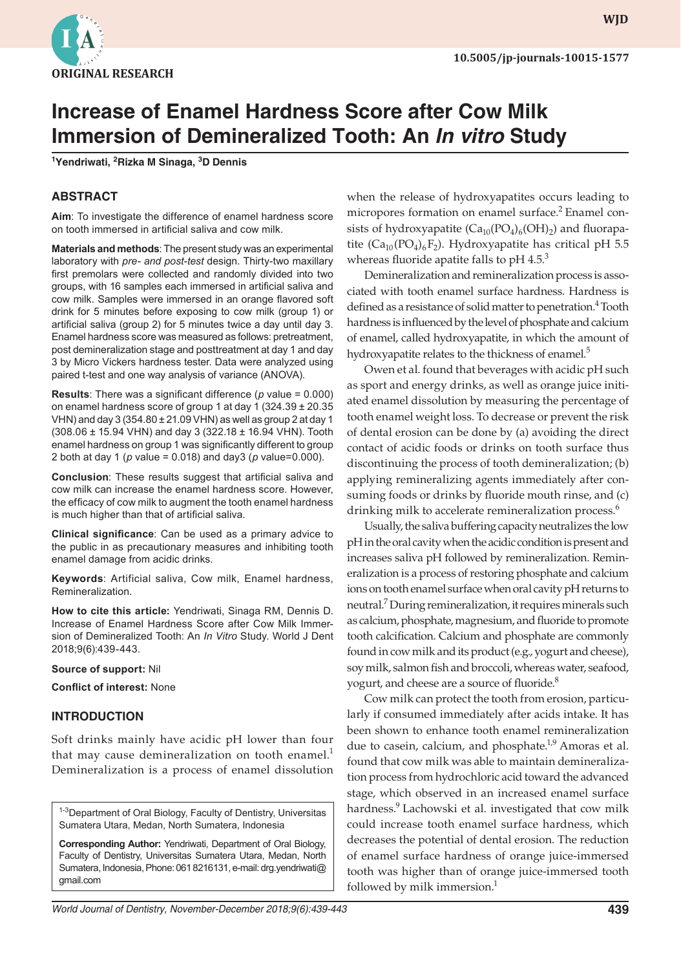

**WJD WJD**

# **Increase of Enamel Hardness Score after Cow Milk Immersion of Demineralized Tooth: An** *In vitro* **Study**

**1 Yendriwati, 2 Rizka M Sinaga, 3 D Dennis**

#### **ABSTRACT**

**Aim**: To investigate the difference of enamel hardness score on tooth immersed in artificial saliva and cow milk.

**Materials and methods**: The present study was an experimental laboratory with *pre- and post-test* design. Thirty-two maxillary first premolars were collected and randomly divided into two groups, with 16 samples each immersed in artificial saliva and cow milk. Samples were immersed in an orange flavored soft drink for 5 minutes before exposing to cow milk (group 1) or artificial saliva (group 2) for 5 minutes twice a day until day 3. Enamel hardness score was measured as follows: pretreatment, post demineralization stage and posttreatment at day 1 and day 3 by Micro Vickers hardness tester. Data were analyzed using paired t-test and one way analysis of variance (ANOVA).

**Results**: There was a significant difference (*p* value = 0.000) on enamel hardness score of group 1 at day 1 (324.39 ± 20.35 VHN) and day 3 (354.80 ± 21.09 VHN) as well as group 2 at day 1 (308.06 ± 15.94 VHN) and day 3 (322.18 ± 16.94 VHN). Tooth enamel hardness on group 1 was significantly different to group 2 both at day 1 (*p* value = 0.018) and day3 (*p* value=0.000).

**Conclusion**: These results suggest that artificial saliva and cow milk can increase the enamel hardness score. However, the efficacy of cow milk to augment the tooth enamel hardness is much higher than that of artificial saliva.

**Clinical significance**: Can be used as a primary advice to the public in as precautionary measures and inhibiting tooth enamel damage from acidic drinks.

**Keywords**: Artificial saliva, Cow milk, Enamel hardness, Remineralization.

**How to cite this article:** Yendriwati, Sinaga RM, Dennis D. Increase of Enamel Hardness Score after Cow Milk Immersion of Demineralized Tooth: An *In Vitro* Study. World J Dent 2018;9(6):439-443.

**Source of support:** Nil

**Conflict of interest:** None

#### **INTRODUCTION**

Soft drinks mainly have acidic pH lower than four that may cause demineralization on tooth enamel. $<sup>1</sup>$ </sup> Demineralization is a process of enamel dissolution

<sup>1-3</sup>Department of Oral Biology, Faculty of Dentistry, Universitas Sumatera Utara, Medan, North Sumatera, Indonesia

**Corresponding Author:** Yendriwati, Department of Oral Biology, Faculty of Dentistry, Universitas Sumatera Utara, Medan, North Sumatera, Indonesia, Phone: 061 8216131, e-mail: drg.yendriwati@ gmail.com

when the release of hydroxyapatites occurs leading to micropores formation on enamel surface.<sup>2</sup> Enamel consists of hydroxyapatite  $(Ca_{10}(PO_4)_6(OH)_2)$  and fluorapatite ( $Ca_{10} (PO_4)_6 F_2$ ). Hydroxyapatite has critical pH 5.5 whereas fluoride apatite falls to  $pH$  4.5.<sup>3</sup>

Demineralization and remineralization process is associated with tooth enamel surface hardness. Hardness is defined as a resistance of solid matter to penetration.<sup>4</sup> Tooth hardness is influenced by the level of phosphate and calcium of enamel, called hydroxyapatite, in which the amount of hydroxyapatite relates to the thickness of enamel.<sup>5</sup>

Owen et al. found that beverages with acidic pH such as sport and energy drinks, as well as orange juice initiated enamel dissolution by measuring the percentage of tooth enamel weight loss. To decrease or prevent the risk of dental erosion can be done by (a) avoiding the direct contact of acidic foods or drinks on tooth surface thus discontinuing the process of tooth demineralization; (b) applying remineralizing agents immediately after consuming foods or drinks by fluoride mouth rinse, and (c) drinking milk to accelerate remineralization process.<sup>6</sup>

Usually, the saliva buffering capacity neutralizes the low pH in the oral cavity when the acidic condition is present and increases saliva pH followed by remineralization. Remineralization is a process of restoring phosphate and calcium ions on tooth enamel surface when oral cavity pH returns to neutral.7 During remineralization, it requires minerals such as calcium, phosphate, magnesium, and fluoride to promote tooth calcification. Calcium and phosphate are commonly found in cow milk and its product (e.g., yogurt and cheese), soy milk, salmon fish and broccoli, whereas water, seafood, yogurt, and cheese are a source of fluoride.<sup>8</sup>

Cow milk can protect the tooth from erosion, particularly if consumed immediately after acids intake. It has been shown to enhance tooth enamel remineralization due to casein, calcium, and phosphate.<sup>1,9</sup> Amoras et al. found that cow milk was able to maintain demineralization process from hydrochloric acid toward the advanced stage, which observed in an increased enamel surface hardness.<sup>9</sup> Lachowski et al. investigated that cow milk could increase tooth enamel surface hardness, which decreases the potential of dental erosion. The reduction of enamel surface hardness of orange juice-immersed tooth was higher than of orange juice-immersed tooth followed by milk immersion.<sup>1</sup>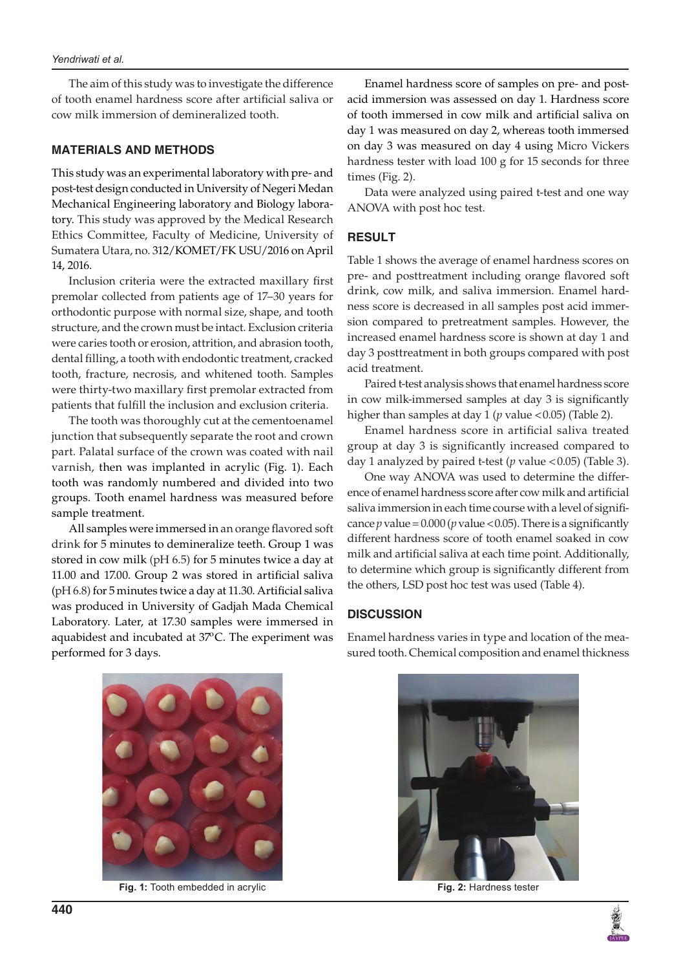The aim of this study was to investigate the difference of tooth enamel hardness score after artificial saliva or cow milk immersion of demineralized tooth.

#### **MATERIALS AND METHODS**

This study was an experimental laboratory with pre- and post-test design conducted in University of Negeri Medan Mechanical Engineering laboratory and Biology laboratory. This study was approved by the Medical Research Ethics Committee, Faculty of Medicine, University of Sumatera Utara, no. 312/KOMET/FK USU/2016 on April 14, 2016.

Inclusion criteria were the extracted maxillary first premolar collected from patients age of 17–30 years for orthodontic purpose with normal size, shape, and tooth structure, and the crown must be intact. Exclusion criteria were caries tooth or erosion, attrition, and abrasion tooth, dental filling, a tooth with endodontic treatment, cracked tooth, fracture, necrosis, and whitened tooth. Samples were thirty-two maxillary first premolar extracted from patients that fulfill the inclusion and exclusion criteria.

The tooth was thoroughly cut at the cementoenamel junction that subsequently separate the root and crown part. Palatal surface of the crown was coated with nail varnish, then was implanted in acrylic (Fig. 1). Each tooth was randomly numbered and divided into two groups. Tooth enamel hardness was measured before sample treatment.

All samples were immersed in an orange flavored soft drink for 5 minutes to demineralize teeth. Group 1 was stored in cow milk (pH 6.5) for 5 minutes twice a day at 11.00 and 17.00. Group 2 was stored in artificial saliva (pH 6.8) for 5 minutes twice a day at 11.30. Artificial saliva was produced in University of Gadjah Mada Chemical Laboratory. Later, at 17.30 samples were immersed in aquabidest and incubated at  $37^{\circ}$ C. The experiment was performed for 3 days.

Enamel hardness score of samples on pre- and postacid immersion was assessed on day 1. Hardness score of tooth immersed in cow milk and artificial saliva on day 1 was measured on day 2, whereas tooth immersed on day 3 was measured on day 4 using Micro Vickers hardness tester with load 100 g for 15 seconds for three times (Fig. 2).

Data were analyzed using paired t-test and one way ANOVA with post hoc test.

#### **RESULT**

Table 1 shows the average of enamel hardness scores on pre- and posttreatment including orange flavored soft drink, cow milk, and saliva immersion. Enamel hardness score is decreased in all samples post acid immersion compared to pretreatment samples. However, the increased enamel hardness score is shown at day 1 and day 3 posttreatment in both groups compared with post acid treatment.

Paired t-test analysis shows that enamel hardness score in cow milk-immersed samples at day 3 is significantly higher than samples at day 1 (*p* value <0.05) (Table 2).

Enamel hardness score in artificial saliva treated group at day 3 is significantly increased compared to day 1 analyzed by paired t-test (*p* value <0.05) (Table 3).

One way ANOVA was used to determine the difference of enamel hardness score after cow milk and artificial saliva immersion in each time course with a level of significance  $p$  value =  $0.000$  ( $p$  value <  $0.05$ ). There is a significantly different hardness score of tooth enamel soaked in cow milk and artificial saliva at each time point. Additionally, to determine which group is significantly different from the others, LSD post hoc test was used (Table 4).

## **DISCUSSION**

Enamel hardness varies in type and location of the measured tooth. Chemical composition and enamel thickness



**Fig. 1:** Tooth embedded in acrylic **Fig. 2:** Hardness tester



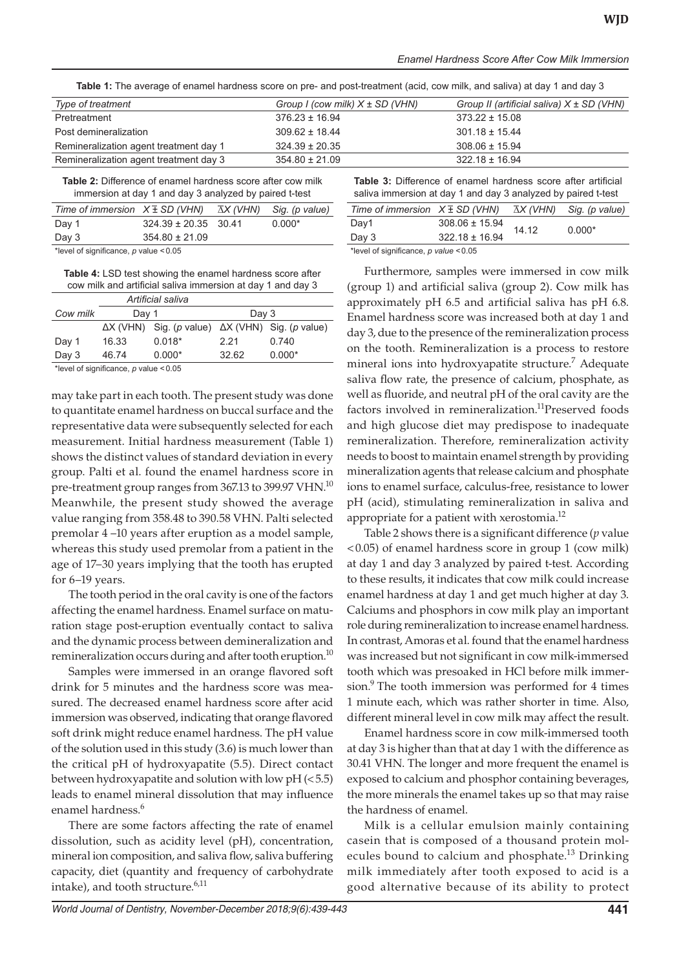| <b>TWATE</b> TO A LOCAL DIGITION INTO THE COLOR OF THE COLOR OF A DAMING IT (WORK, OUT TIMIN, WHO DAMING) OF WHO WAY O |                                     |                                               |  |  |  |
|------------------------------------------------------------------------------------------------------------------------|-------------------------------------|-----------------------------------------------|--|--|--|
| Type of treatment                                                                                                      | Group I (cow milk) $X \pm SD$ (VHN) | Group II (artificial saliva) $X \pm SD$ (VHN) |  |  |  |
| Pretreatment                                                                                                           | $376.23 \pm 16.94$                  | $373.22 \pm 15.08$                            |  |  |  |
| Post demineralization                                                                                                  | $309.62 \pm 18.44$                  | $301.18 \pm 15.44$                            |  |  |  |
| Remineralization agent treatment day 1                                                                                 | $324.39 \pm 20.35$                  | $308.06 \pm 15.94$                            |  |  |  |
| Remineralization agent treatment day 3                                                                                 | $354.80 \pm 21.09$                  | $322.18 \pm 16.94$                            |  |  |  |

**Table 1:** The average of enamel hardness score on pre- and post-treatment (acid, cow milk, and saliva) at day 1 and day 3

**Table 2:** Difference of enamel hardness score after cow milk immersion at day 1 and day 3 analyzed by paired t-test

| Time of immersion $X \pm SD$ (VHN) $\bar{\Delta}X$ (VHN) Sig. (p value) |                          |  |          |  |
|-------------------------------------------------------------------------|--------------------------|--|----------|--|
| Day 1                                                                   | $324.39 \pm 20.35$ 30.41 |  | $0.000*$ |  |
| Day 3                                                                   | $354.80 \pm 21.09$       |  |          |  |
| *level of significance, $p$ value < 0.05                                |                          |  |          |  |

**Table 4:** LSD test showing the enamel hardness score after cow milk and artificial saliva immersion at day 1 and day 3

|          | Artificial saliva |                                                                 |       |          |
|----------|-------------------|-----------------------------------------------------------------|-------|----------|
| Cow milk | Day 1             |                                                                 | Day 3 |          |
|          |                   | $\Delta X$ (VHN) Sig. (p value) $\Delta X$ (VHN) Sig. (p value) |       |          |
| Day 1    | 16.33             | $0.018*$                                                        | 2.21  | 0.740    |
| Day $3$  | 46.74             | $0.000*$                                                        | 32.62 | $0.000*$ |

\*level of significance, *p* value <0.05

may take part in each tooth. The present study was done to quantitate enamel hardness on buccal surface and the representative data were subsequently selected for each measurement. Initial hardness measurement (Table 1) shows the distinct values of standard deviation in every group. Palti et al. found the enamel hardness score in pre-treatment group ranges from 367.13 to 399.97 VHN.<sup>10</sup> Meanwhile, the present study showed the average value ranging from 358.48 to 390.58 VHN. Palti selected premolar 4 –10 years after eruption as a model sample, whereas this study used premolar from a patient in the age of 17–30 years implying that the tooth has erupted for 6–19 years.

The tooth period in the oral cavity is one of the factors affecting the enamel hardness. Enamel surface on maturation stage post-eruption eventually contact to saliva and the dynamic process between demineralization and remineralization occurs during and after tooth eruption.<sup>10</sup>

Samples were immersed in an orange flavored soft drink for 5 minutes and the hardness score was measured. The decreased enamel hardness score after acid immersion was observed, indicating that orange flavored soft drink might reduce enamel hardness. The pH value of the solution used in this study (3.6) is much lower than the critical pH of hydroxyapatite (5.5). Direct contact between hydroxyapatite and solution with low pH (<5.5) leads to enamel mineral dissolution that may influence enamel hardness.<sup>6</sup>

There are some factors affecting the rate of enamel dissolution, such as acidity level (pH), concentration, mineral ion composition, and saliva flow, saliva buffering capacity, diet (quantity and frequency of carbohydrate intake), and tooth structure.<sup>6,11</sup>

| <b>Table 3:</b> Difference of enamel hardness score after artificial<br>saliva immersion at day 1 and day 3 analyzed by paired t-test |                    |       |          |  |  |
|---------------------------------------------------------------------------------------------------------------------------------------|--------------------|-------|----------|--|--|
| Time of immersion $X \pm SD$ (VHN) $\overline{\Delta}X$ (VHN) Sig. (p value)                                                          |                    |       |          |  |  |
| Day1                                                                                                                                  | $308.06 \pm 15.94$ | 14.12 | $0.000*$ |  |  |
| Day 3                                                                                                                                 | $322.18 \pm 16.94$ |       |          |  |  |
| *level of significance, $p$ value < 0.05                                                                                              |                    |       |          |  |  |

Furthermore, samples were immersed in cow milk (group 1) and artificial saliva (group 2). Cow milk has approximately pH 6.5 and artificial saliva has pH 6.8. Enamel hardness score was increased both at day 1 and day 3, due to the presence of the remineralization process on the tooth. Remineralization is a process to restore mineral ions into hydroxyapatite structure.<sup>7</sup> Adequate saliva flow rate, the presence of calcium, phosphate, as well as fluoride, and neutral pH of the oral cavity are the factors involved in remineralization.<sup>11</sup>Preserved foods and high glucose diet may predispose to inadequate remineralization. Therefore, remineralization activity needs to boost to maintain enamel strength by providing mineralization agents that release calcium and phosphate ions to enamel surface, calculus-free, resistance to lower pH (acid), stimulating remineralization in saliva and appropriate for a patient with xerostomia.<sup>12</sup>

Table 2 shows there is a significant difference (*p* value <0.05) of enamel hardness score in group 1 (cow milk) at day 1 and day 3 analyzed by paired t-test. According to these results, it indicates that cow milk could increase enamel hardness at day 1 and get much higher at day 3. Calciums and phosphors in cow milk play an important role during remineralization to increase enamel hardness. In contrast, Amoras et al. found that the enamel hardness was increased but not significant in cow milk-immersed tooth which was presoaked in HCl before milk immersion.<sup>9</sup> The tooth immersion was performed for 4 times 1 minute each, which was rather shorter in time. Also, different mineral level in cow milk may affect the result.

Enamel hardness score in cow milk-immersed tooth at day 3 is higher than that at day 1 with the difference as 30.41 VHN. The longer and more frequent the enamel is exposed to calcium and phosphor containing beverages, the more minerals the enamel takes up so that may raise the hardness of enamel.

Milk is a cellular emulsion mainly containing casein that is composed of a thousand protein molecules bound to calcium and phosphate.<sup>13</sup> Drinking milk immediately after tooth exposed to acid is a good alternative because of its ability to protect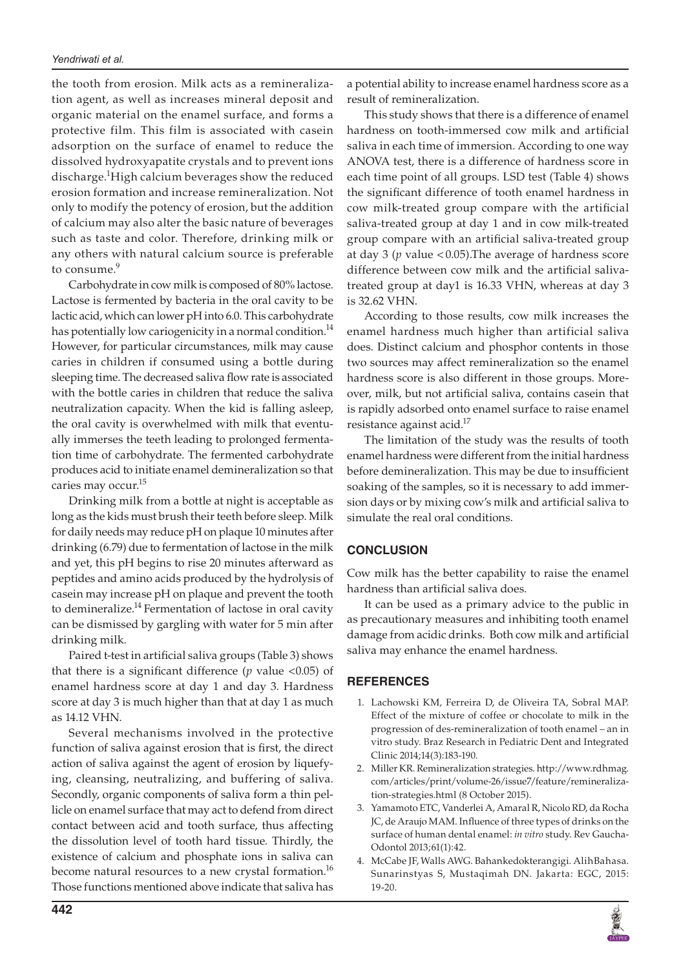the tooth from erosion. Milk acts as a remineralization agent, as well as increases mineral deposit and organic material on the enamel surface, and forms a protective film. This film is associated with casein adsorption on the surface of enamel to reduce the dissolved hydroxyapatite crystals and to prevent ions discharge.<sup>1</sup>High calcium beverages show the reduced erosion formation and increase remineralization. Not only to modify the potency of erosion, but the addition of calcium may also alter the basic nature of beverages such as taste and color. Therefore, drinking milk or any others with natural calcium source is preferable to consume.<sup>9</sup>

Carbohydrate in cow milk is composed of 80% lactose. Lactose is fermented by bacteria in the oral cavity to be lactic acid, which can lower pH into 6.0. This carbohydrate has potentially low cariogenicity in a normal condition.<sup>14</sup> However, for particular circumstances, milk may cause caries in children if consumed using a bottle during sleeping time. The decreased saliva flow rate is associated with the bottle caries in children that reduce the saliva neutralization capacity. When the kid is falling asleep, the oral cavity is overwhelmed with milk that eventually immerses the teeth leading to prolonged fermentation time of carbohydrate. The fermented carbohydrate produces acid to initiate enamel demineralization so that caries may occur.15

Drinking milk from a bottle at night is acceptable as long as the kids must brush their teeth before sleep. Milk for daily needs may reduce pH on plaque 10 minutes after drinking (6.79) due to fermentation of lactose in the milk and yet, this pH begins to rise 20 minutes afterward as peptides and amino acids produced by the hydrolysis of casein may increase pH on plaque and prevent the tooth to demineralize.<sup>14</sup> Fermentation of lactose in oral cavity can be dismissed by gargling with water for 5 min after drinking milk.

Paired t-test in artificial saliva groups (Table 3) shows that there is a significant difference (*p* value <0.05) of enamel hardness score at day 1 and day 3. Hardness score at day 3 is much higher than that at day 1 as much as 14.12 VHN.

Several mechanisms involved in the protective function of saliva against erosion that is first, the direct action of saliva against the agent of erosion by liquefying, cleansing, neutralizing, and buffering of saliva. Secondly, organic components of saliva form a thin pellicle on enamel surface that may act to defend from direct contact between acid and tooth surface, thus affecting the dissolution level of tooth hard tissue. Thirdly, the existence of calcium and phosphate ions in saliva can become natural resources to a new crystal formation.<sup>16</sup> Those functions mentioned above indicate that saliva has

a potential ability to increase enamel hardness score as a result of remineralization.

This study shows that there is a difference of enamel hardness on tooth-immersed cow milk and artificial saliva in each time of immersion. According to one way ANOVA test, there is a difference of hardness score in each time point of all groups. LSD test (Table 4) shows the significant difference of tooth enamel hardness in cow milk-treated group compare with the artificial saliva-treated group at day 1 and in cow milk-treated group compare with an artificial saliva-treated group at day 3 (*p* value <0.05).The average of hardness score difference between cow milk and the artificial salivatreated group at day1 is 16.33 VHN, whereas at day 3 is 32.62 VHN.

According to those results, cow milk increases the enamel hardness much higher than artificial saliva does. Distinct calcium and phosphor contents in those two sources may affect remineralization so the enamel hardness score is also different in those groups. Moreover, milk, but not artificial saliva, contains casein that is rapidly adsorbed onto enamel surface to raise enamel resistance against acid.<sup>17</sup>

The limitation of the study was the results of tooth enamel hardness were different from the initial hardness before demineralization. This may be due to insufficient soaking of the samples, so it is necessary to add immersion days or by mixing cow's milk and artificial saliva to simulate the real oral conditions.

## **CONCLUSION**

Cow milk has the better capability to raise the enamel hardness than artificial saliva does.

It can be used as a primary advice to the public in as precautionary measures and inhibiting tooth enamel damage from acidic drinks. Both cow milk and artificial saliva may enhance the enamel hardness.

## **REFERENCES**

- 1. Lachowski KM, Ferreira D, de Oliveira TA, Sobral MAP. Effect of the mixture of coffee or chocolate to milk in the progression of des-remineralization of tooth enamel – an in vitro study. Braz Research in Pediatric Dent and Integrated Clinic 2014;14(3):183-190.
- 2. Miller KR. Remineralization strategies. http://www.rdhmag. com/articles/print/volume-26/issue7/feature/remineralization-strategies.html (8 October 2015).
- 3. Yamamoto ETC, Vanderlei A, Amaral R, Nicolo RD, da Rocha JC, de Araujo MAM. Influence of three types of drinks on the surface of human dental enamel: *in vitro* study. Rev Gaucha-Odontol 2013;61(1):42.
- 4. McCabe JF, Walls AWG. Bahankedokterangigi. AlihBahasa. Sunarinstyas S, Mustaqimah DN. Jakarta: EGC, 2015: 19-20.